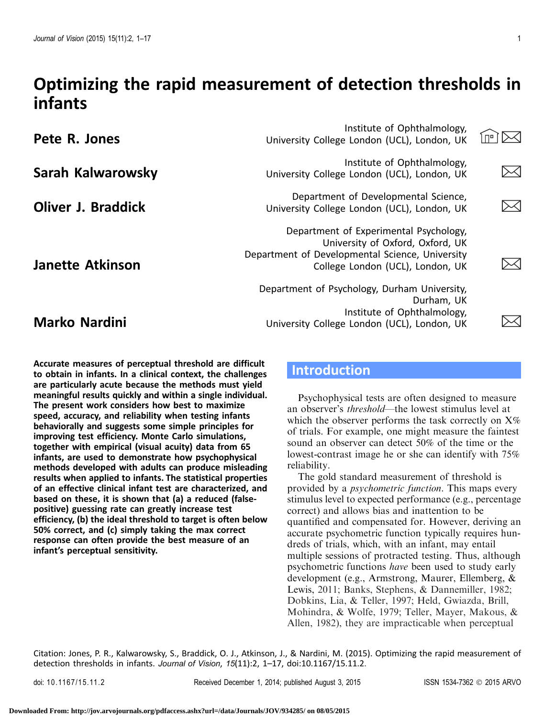# Optimizing the rapid measurement of detection thresholds in infants

| Pete R. Jones             | Institute of Ophthalmology,<br>University College London (UCL), London, UK                                                                                        |           |  |
|---------------------------|-------------------------------------------------------------------------------------------------------------------------------------------------------------------|-----------|--|
| Sarah Kalwarowsky         | Institute of Ophthalmology,<br>University College London (UCL), London, UK                                                                                        |           |  |
| <b>Oliver J. Braddick</b> | Department of Developmental Science,<br>University College London (UCL), London, UK                                                                               | $\bowtie$ |  |
| <b>Janette Atkinson</b>   | Department of Experimental Psychology,<br>University of Oxford, Oxford, UK<br>Department of Developmental Science, University<br>College London (UCL), London, UK |           |  |
| <b>Marko Nardini</b>      | Department of Psychology, Durham University,<br>Durham, UK<br>Institute of Ophthalmology,<br>University College London (UCL), London, UK                          |           |  |

Accurate measures of perceptual threshold are difficult to obtain in infants. In a clinical context, the challenges are particularly acute because the methods must yield meaningful results quickly and within a single individual. The present work considers how best to maximize speed, accuracy, and reliability when testing infants behaviorally and suggests some simple principles for improving test efficiency. Monte Carlo simulations, together with empirical (visual acuity) data from 65 infants, are used to demonstrate how psychophysical methods developed with adults can produce misleading results when applied to infants. The statistical properties of an effective clinical infant test are characterized, and based on these, it is shown that (a) a reduced (falsepositive) guessing rate can greatly increase test efficiency, (b) the ideal threshold to target is often below 50% correct, and (c) simply taking the max correct response can often provide the best measure of an infant's perceptual sensitivity.

# Introduction

Psychophysical tests are often designed to measure an observer's threshold—the lowest stimulus level at which the observer performs the task correctly on  $X\%$ of trials. For example, one might measure the faintest sound an observer can detect 50% of the time or the lowest-contrast image he or she can identify with 75% reliability.

The gold standard measurement of threshold is provided by a psychometric function. This maps every stimulus level to expected performance (e.g., percentage correct) and allows bias and inattention to be quantified and compensated for. However, deriving an accurate psychometric function typically requires hundreds of trials, which, with an infant, may entail multiple sessions of protracted testing. Thus, although psychometric functions have been used to study early development (e.g., Armstrong, Maurer, Ellemberg, & Lewis, [2011;](#page-13-0) Banks, Stephens, & Dannemiller, [1982](#page-14-0); Dobkins, Lia, & Teller, [1997;](#page-14-0) Held, Gwiazda, Brill, Mohindra, & Wolfe, [1979](#page-14-0); Teller, Mayer, Makous, & Allen, [1982\)](#page-15-0), they are impracticable when perceptual

Citation: Jones, P. R., Kalwarowsky, S., Braddick, O. J., Atkinson, J., & Nardini, M. (2015). Optimizing the rapid measurement of detection thresholds in infants. Journal of Vision, 15(11):2, 1–17, doi:10.1167/15.11.2.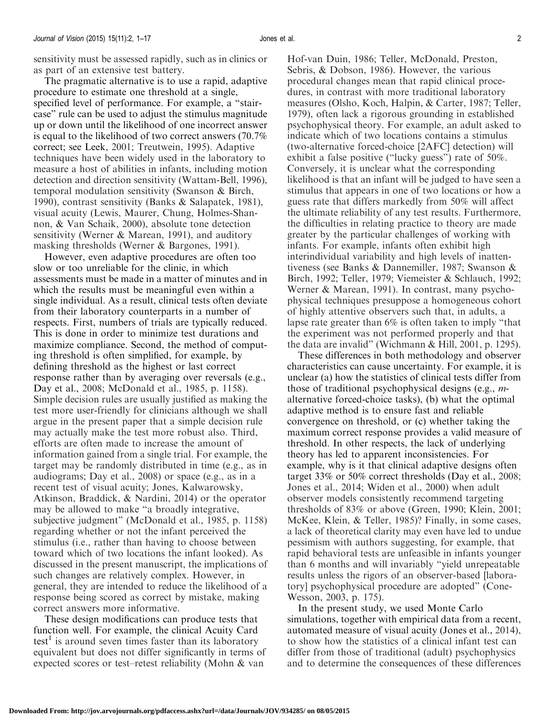sensitivity must be assessed rapidly, such as in clinics or as part of an extensive test battery.

The pragmatic alternative is to use a rapid, adaptive procedure to estimate one threshold at a single, specified level of performance. For example, a "staircase'' rule can be used to adjust the stimulus magnitude up or down until the likelihood of one incorrect answer is equal to the likelihood of two correct answers (70.7% correct; see Leek, [2001;](#page-15-0) Treutwein, [1995\)](#page-15-0). Adaptive techniques have been widely used in the laboratory to measure a host of abilities in infants, including motion detection and direction sensitivity (Wattam-Bell, [1996](#page-16-0)), temporal modulation sensitivity (Swanson & Birch, [1990\)](#page-15-0), contrast sensitivity (Banks & Salapatek, [1981\)](#page-13-0), visual acuity (Lewis, Maurer, Chung, Holmes-Shannon, & Van Schaik, [2000\)](#page-15-0), absolute tone detection sensitivity (Werner & Marean, [1991\)](#page-16-0), and auditory masking thresholds (Werner & Bargones, [1991](#page-16-0)).

However, even adaptive procedures are often too slow or too unreliable for the clinic, in which assessments must be made in a matter of minutes and in which the results must be meaningful even within a single individual. As a result, clinical tests often deviate from their laboratory counterparts in a number of respects. First, numbers of trials are typically reduced. This is done in order to minimize test durations and maximize compliance. Second, the method of computing threshold is often simplified, for example, by defining threshold as the highest or last correct response rather than by averaging over reversals (e.g., Day et al., [2008;](#page-14-0) McDonald et al., [1985](#page-15-0), p. 1158). Simple decision rules are usually justified as making the test more user-friendly for clinicians although we shall argue in the present paper that a simple decision rule may actually make the test more robust also. Third, efforts are often made to increase the amount of information gained from a single trial. For example, the target may be randomly distributed in time (e.g., as in audiograms; Day et al., [2008](#page-14-0)) or space (e.g., as in a recent test of visual acuity; Jones, Kalwarowsky, Atkinson, Braddick, & Nardini, [2014\)](#page-14-0) or the operator may be allowed to make ''a broadly integrative, subjective judgment'' (McDonald et al., [1985](#page-15-0), p. 1158) regarding whether or not the infant perceived the stimulus (i.e., rather than having to choose between toward which of two locations the infant looked). As discussed in the present manuscript, the implications of such changes are relatively complex. However, in general, they are intended to reduce the likelihood of a response being scored as correct by mistake, making correct answers more informative.

These design modifications can produce tests that function well. For example, the clinical Acuity Card test<sup>1</sup> is around seven times faster than its laboratory equivalent but does not differ significantly in terms of expected scores or test–retest reliability (Mohn & van

Hof-van Duin, [1986](#page-15-0); Teller, McDonald, Preston, Sebris, & Dobson, [1986\)](#page-15-0). However, the various procedural changes mean that rapid clinical procedures, in contrast with more traditional laboratory measures (Olsho, Koch, Halpin, & Carter, [1987](#page-15-0); Teller, [1979\)](#page-15-0), often lack a rigorous grounding in established psychophysical theory. For example, an adult asked to indicate which of two locations contains a stimulus (two-alternative forced-choice [2AFC] detection) will exhibit a false positive (''lucky guess'') rate of 50%. Conversely, it is unclear what the corresponding likelihood is that an infant will be judged to have seen a stimulus that appears in one of two locations or how a guess rate that differs markedly from 50% will affect the ultimate reliability of any test results. Furthermore, the difficulties in relating practice to theory are made greater by the particular challenges of working with infants. For example, infants often exhibit high interindividual variability and high levels of inattentiveness (see Banks & Dannemiller, [1987](#page-13-0); Swanson & Birch, [1992](#page-15-0); Teller, [1979;](#page-15-0) Viemeister & Schlauch, [1992](#page-15-0); Werner & Marean, [1991\)](#page-16-0). In contrast, many psychophysical techniques presuppose a homogeneous cohort of highly attentive observers such that, in adults, a lapse rate greater than 6% is often taken to imply ''that the experiment was not performed properly and that the data are invalid'' (Wichmann & Hill, [2001](#page-16-0), p. 1295).

These differences in both methodology and observer characteristics can cause uncertainty. For example, it is unclear (a) how the statistics of clinical tests differ from those of traditional psychophysical designs (e.g., malternative forced-choice tasks), (b) what the optimal adaptive method is to ensure fast and reliable convergence on threshold, or (c) whether taking the maximum correct response provides a valid measure of threshold. In other respects, the lack of underlying theory has led to apparent inconsistencies. For example, why is it that clinical adaptive designs often target 33% or 50% correct thresholds (Day et al., [2008](#page-14-0); Jones et al., [2014](#page-14-0); Widen et al., [2000](#page-16-0)) when adult observer models consistently recommend targeting thresholds of 83% or above (Green, [1990](#page-14-0); Klein, [2001](#page-15-0); McKee, Klein, & Teller, [1985](#page-15-0))? Finally, in some cases, a lack of theoretical clarity may even have led to undue pessimism with authors suggesting, for example, that rapid behavioral tests are unfeasible in infants younger than 6 months and will invariably ''yield unrepeatable results unless the rigors of an observer-based [laboratory] psychophysical procedure are adopted'' (Cone-Wesson, [2003,](#page-14-0) p. 175).

In the present study, we used Monte Carlo simulations, together with empirical data from a recent, automated measure of visual acuity (Jones et al., [2014](#page-14-0)), to show how the statistics of a clinical infant test can differ from those of traditional (adult) psychophysics and to determine the consequences of these differences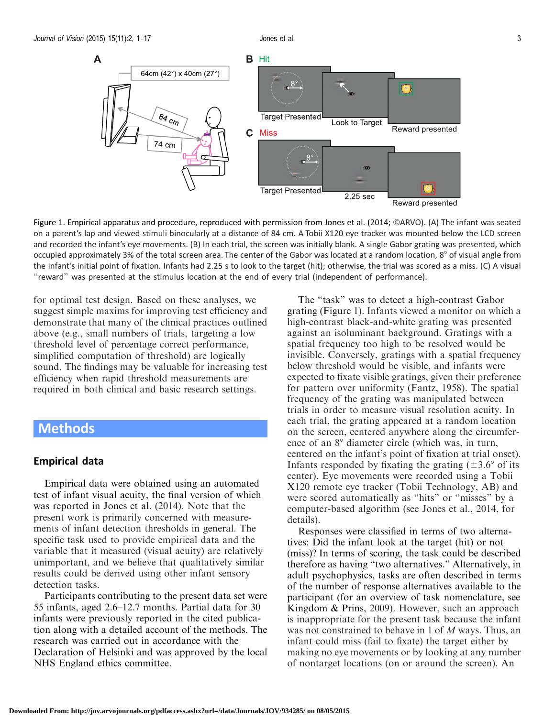A





Figure 1. Empirical apparatus and procedure, reproduced with permission from Jones et al. ([2014;](#page-14-0) ©ARVO). (A) The infant was seated on a parent's lap and viewed stimuli binocularly at a distance of 84 cm. A Tobii X120 eye tracker was mounted below the LCD screen and recorded the infant's eye movements. (B) In each trial, the screen was initially blank. A single Gabor grating was presented, which occupied approximately 3% of the total screen area. The center of the Gabor was located at a random location,  $8^\circ$  of visual angle from the infant's initial point of fixation. Infants had 2.25 s to look to the target (hit); otherwise, the trial was scored as a miss. (C) A visual ''reward'' was presented at the stimulus location at the end of every trial (independent of performance).

for optimal test design. Based on these analyses, we suggest simple maxims for improving test efficiency and demonstrate that many of the clinical practices outlined above (e.g., small numbers of trials, targeting a low threshold level of percentage correct performance, simplified computation of threshold) are logically sound. The findings may be valuable for increasing test efficiency when rapid threshold measurements are required in both clinical and basic research settings.

64cm (42°) x 40cm (27°)

# Methods

### Empirical data

Empirical data were obtained using an automated test of infant visual acuity, the final version of which was reported in Jones et al. ([2014\)](#page-14-0). Note that the present work is primarily concerned with measurements of infant detection thresholds in general. The specific task used to provide empirical data and the variable that it measured (visual acuity) are relatively unimportant, and we believe that qualitatively similar results could be derived using other infant sensory detection tasks.

Participants contributing to the present data set were 55 infants, aged 2.6–12.7 months. Partial data for 30 infants were previously reported in the cited publication along with a detailed account of the methods. The research was carried out in accordance with the Declaration of Helsinki and was approved by the local NHS England ethics committee.

The "task" was to detect a high-contrast Gabor grating (Figure 1). Infants viewed a monitor on which a high-contrast black-and-white grating was presented against an isoluminant background. Gratings with a spatial frequency too high to be resolved would be invisible. Conversely, gratings with a spatial frequency below threshold would be visible, and infants were expected to fixate visible gratings, given their preference for pattern over uniformity (Fantz, [1958](#page-14-0)). The spatial frequency of the grating was manipulated between trials in order to measure visual resolution acuity. In each trial, the grating appeared at a random location on the screen, centered anywhere along the circumference of an  $8^\circ$  diameter circle (which was, in turn, centered on the infant's point of fixation at trial onset). Infants responded by fixating the grating  $(\pm 3.6^{\circ} \text{ of its})$ center). Eye movements were recorded using a Tobii X120 remote eye tracker (Tobii Technology, AB) and were scored automatically as "hits" or "misses" by a computer-based algorithm (see Jones et al., [2014](#page-14-0), for details).

Responses were classified in terms of two alternatives: Did the infant look at the target (hit) or not (miss)? In terms of scoring, the task could be described therefore as having ''two alternatives.'' Alternatively, in adult psychophysics, tasks are often described in terms of the number of response alternatives available to the participant (for an overview of task nomenclature, see Kingdom & Prins, [2009\)](#page-15-0). However, such an approach is inappropriate for the present task because the infant was not constrained to behave in 1 of M ways. Thus, an infant could miss (fail to fixate) the target either by making no eye movements or by looking at any number of nontarget locations (on or around the screen). An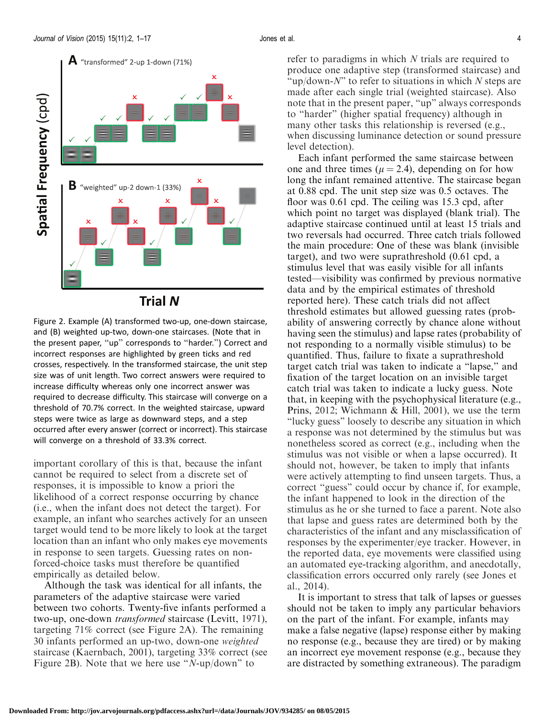<span id="page-3-0"></span>

**Trial N** 

Figure 2. Example (A) transformed two-up, one-down staircase, and (B) weighted up-two, down-one staircases. (Note that in the present paper, ''up'' corresponds to ''harder.'') Correct and incorrect responses are highlighted by green ticks and red crosses, respectively. In the transformed staircase, the unit step size was of unit length. Two correct answers were required to increase difficulty whereas only one incorrect answer was required to decrease difficulty. This staircase will converge on a threshold of 70.7% correct. In the weighted staircase, upward steps were twice as large as downward steps, and a step occurred after every answer (correct or incorrect). This staircase will converge on a threshold of 33.3% correct.

important corollary of this is that, because the infant cannot be required to select from a discrete set of responses, it is impossible to know a priori the likelihood of a correct response occurring by chance (i.e., when the infant does not detect the target). For example, an infant who searches actively for an unseen target would tend to be more likely to look at the target location than an infant who only makes eye movements in response to seen targets. Guessing rates on nonforced-choice tasks must therefore be quantified empirically as detailed below.

Although the task was identical for all infants, the parameters of the adaptive staircase were varied between two cohorts. Twenty-five infants performed a two-up, one-down transformed staircase (Levitt, [1971](#page-15-0)), targeting 71% correct (see Figure 2A). The remaining 30 infants performed an up-two, down-one weighted staircase (Kaernbach, [2001\)](#page-14-0), targeting 33% correct (see Figure 2B). Note that we here use " $N$ -up/down" to

refer to paradigms in which N trials are required to produce one adaptive step (transformed staircase) and "up/down- $N$ " to refer to situations in which N steps are made after each single trial (weighted staircase). Also note that in the present paper, "up" always corresponds to ''harder'' (higher spatial frequency) although in many other tasks this relationship is reversed (e.g., when discussing luminance detection or sound pressure level detection).

Each infant performed the same staircase between one and three times ( $\mu$  = 2.4), depending on for how long the infant remained attentive. The staircase began at 0.88 cpd. The unit step size was 0.5 octaves. The floor was 0.61 cpd. The ceiling was 15.3 cpd, after which point no target was displayed (blank trial). The adaptive staircase continued until at least 15 trials and two reversals had occurred. Three catch trials followed the main procedure: One of these was blank (invisible target), and two were suprathreshold (0.61 cpd, a stimulus level that was easily visible for all infants tested—visibility was confirmed by previous normative data and by the empirical estimates of threshold reported here). These catch trials did not affect threshold estimates but allowed guessing rates (probability of answering correctly by chance alone without having seen the stimulus) and lapse rates (probability of not responding to a normally visible stimulus) to be quantified. Thus, failure to fixate a suprathreshold target catch trial was taken to indicate a ''lapse,'' and fixation of the target location on an invisible target catch trial was taken to indicate a lucky guess. Note that, in keeping with the psychophysical literature (e.g., Prins, [2012;](#page-15-0) Wichmann & Hill, [2001](#page-16-0)), we use the term ''lucky guess'' loosely to describe any situation in which a response was not determined by the stimulus but was nonetheless scored as correct (e.g., including when the stimulus was not visible or when a lapse occurred). It should not, however, be taken to imply that infants were actively attempting to find unseen targets. Thus, a correct ''guess'' could occur by chance if, for example, the infant happened to look in the direction of the stimulus as he or she turned to face a parent. Note also that lapse and guess rates are determined both by the characteristics of the infant and any misclassification of responses by the experimenter/eye tracker. However, in the reported data, eye movements were classified using an automated eye-tracking algorithm, and anecdotally, classification errors occurred only rarely (see Jones et al., [2014\)](#page-14-0).

It is important to stress that talk of lapses or guesses should not be taken to imply any particular behaviors on the part of the infant. For example, infants may make a false negative (lapse) response either by making no response (e.g., because they are tired) or by making an incorrect eye movement response (e.g., because they are distracted by something extraneous). The paradigm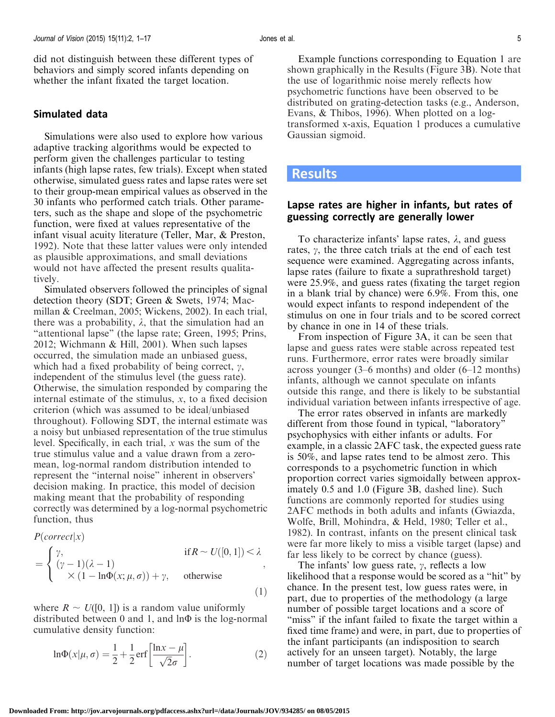#### <span id="page-4-0"></span>Simulated data

Simulations were also used to explore how various adaptive tracking algorithms would be expected to perform given the challenges particular to testing infants (high lapse rates, few trials). Except when stated otherwise, simulated guess rates and lapse rates were set to their group-mean empirical values as observed in the 30 infants who performed catch trials. Other parameters, such as the shape and slope of the psychometric function, were fixed at values representative of the infant visual acuity literature (Teller, Mar, & Preston, [1992\)](#page-15-0). Note that these latter values were only intended as plausible approximations, and small deviations would not have affected the present results qualitatively.

Simulated observers followed the principles of signal detection theory (SDT; Green & Swets, [1974;](#page-14-0) Macmillan & Creelman, [2005](#page-15-0); Wickens, [2002](#page-16-0)). In each trial, there was a probability,  $\lambda$ , that the simulation had an "attentional lapse" (the lapse rate; Green, [1995;](#page-14-0) Prins, [2012;](#page-15-0) Wichmann & Hill, [2001\)](#page-16-0). When such lapses occurred, the simulation made an unbiased guess, which had a fixed probability of being correct,  $\gamma$ , independent of the stimulus level (the guess rate). Otherwise, the simulation responded by comparing the internal estimate of the stimulus,  $x$ , to a fixed decision criterion (which was assumed to be ideal/unbiased throughout). Following SDT, the internal estimate was a noisy but unbiased representation of the true stimulus level. Specifically, in each trial,  $x$  was the sum of the true stimulus value and a value drawn from a zeromean, log-normal random distribution intended to represent the ''internal noise'' inherent in observers' decision making. In practice, this model of decision making meant that the probability of responding correctly was determined by a log-normal psychometric function, thus

$$
P(correct|x)
$$
  
= 
$$
\begin{cases} \gamma, & \text{if } R \sim U([0,1]) < \lambda \\ (\gamma - 1)(\lambda - 1) & , \\ \times (1 - \ln \Phi(x; \mu, \sigma)) + \gamma, & \text{otherwise} \end{cases}
$$
 (1)

where  $R \sim U([0, 1])$  is a random value uniformly distributed between 0 and 1, and  $\ln \Phi$  is the log-normal cumulative density function:

$$
\ln \Phi(x|\mu, \sigma) = \frac{1}{2} + \frac{1}{2} \operatorname{erf} \left[ \frac{\ln x - \mu}{\sqrt{2}\sigma} \right]. \tag{2}
$$

Example functions corresponding to Equation 1 are shown graphically in the Results [\(Figure 3B\)](#page-5-0). Note that the use of logarithmic noise merely reflects how psychometric functions have been observed to be distributed on grating-detection tasks (e.g., Anderson, Evans, & Thibos, [1996](#page-13-0)). When plotted on a logtransformed x-axis, Equation 1 produces a cumulative Gaussian sigmoid.

### Results

#### Lapse rates are higher in infants, but rates of guessing correctly are generally lower

To characterize infants' lapse rates,  $\lambda$ , and guess rates,  $\gamma$ , the three catch trials at the end of each test sequence were examined. Aggregating across infants, lapse rates (failure to fixate a suprathreshold target) were 25.9%, and guess rates (fixating the target region in a blank trial by chance) were 6.9%. From this, one would expect infants to respond independent of the stimulus on one in four trials and to be scored correct by chance in one in 14 of these trials.

From inspection of [Figure 3A](#page-5-0), it can be seen that lapse and guess rates were stable across repeated test runs. Furthermore, error rates were broadly similar across younger (3–6 months) and older (6–12 months) infants, although we cannot speculate on infants outside this range, and there is likely to be substantial individual variation between infants irrespective of age.

The error rates observed in infants are markedly different from those found in typical, ''laboratory'' psychophysics with either infants or adults. For example, in a classic 2AFC task, the expected guess rate is 50%, and lapse rates tend to be almost zero. This corresponds to a psychometric function in which proportion correct varies sigmoidally between approximately 0.5 and 1.0 ([Figure 3B](#page-5-0), dashed line). Such functions are commonly reported for studies using 2AFC methods in both adults and infants (Gwiazda, Wolfe, Brill, Mohindra, & Held, [1980;](#page-14-0) Teller et al., [1982\)](#page-15-0). In contrast, infants on the present clinical task were far more likely to miss a visible target (lapse) and far less likely to be correct by chance (guess).

The infants' low guess rate,  $\gamma$ , reflects a low likelihood that a response would be scored as a ''hit'' by chance. In the present test, low guess rates were, in part, due to properties of the methodology (a large number of possible target locations and a score of "miss" if the infant failed to fixate the target within a fixed time frame) and were, in part, due to properties of the infant participants (an indisposition to search actively for an unseen target). Notably, the large number of target locations was made possible by the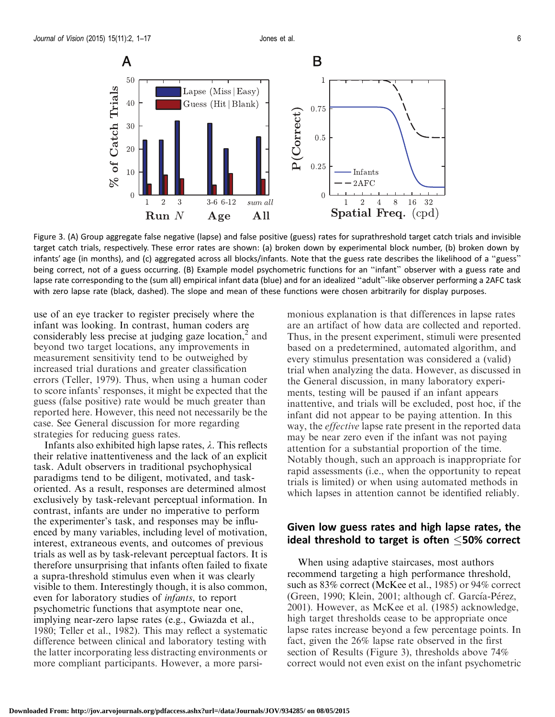<span id="page-5-0"></span>

Figure 3. (A) Group aggregate false negative (lapse) and false positive (guess) rates for suprathreshold target catch trials and invisible target catch trials, respectively. These error rates are shown: (a) broken down by experimental block number, (b) broken down by infants' age (in months), and (c) aggregated across all blocks/infants. Note that the guess rate describes the likelihood of a ''guess'' being correct, not of a guess occurring. (B) Example model psychometric functions for an ''infant'' observer with a guess rate and lapse rate corresponding to the (sum all) empirical infant data (blue) and for an idealized ''adult''-like observer performing a 2AFC task with zero lapse rate (black, dashed). The slope and mean of these functions were chosen arbitrarily for display purposes.

use of an eye tracker to register precisely where the infant was looking. In contrast, human coders are considerably less precise at judging gaze location,  $\alpha$  and beyond two target locations, any improvements in measurement sensitivity tend to be outweighed by increased trial durations and greater classification errors (Teller, [1979](#page-15-0)). Thus, when using a human coder to score infants' responses, it might be expected that the guess (false positive) rate would be much greater than reported here. However, this need not necessarily be the case. See [General discussion](#page-10-0) for more regarding strategies for reducing guess rates.

Infants also exhibited high lapse rates,  $\lambda$ . This reflects their relative inattentiveness and the lack of an explicit task. Adult observers in traditional psychophysical paradigms tend to be diligent, motivated, and taskoriented. As a result, responses are determined almost exclusively by task-relevant perceptual information. In contrast, infants are under no imperative to perform the experimenter's task, and responses may be influenced by many variables, including level of motivation, interest, extraneous events, and outcomes of previous trials as well as by task-relevant perceptual factors. It is therefore unsurprising that infants often failed to fixate a supra-threshold stimulus even when it was clearly visible to them. Interestingly though, it is also common, even for laboratory studies of infants, to report psychometric functions that asymptote near one, implying near-zero lapse rates (e.g., Gwiazda et al., [1980;](#page-14-0) Teller et al., [1982](#page-15-0)). This may reflect a systematic difference between clinical and laboratory testing with the latter incorporating less distracting environments or more compliant participants. However, a more parsimonious explanation is that differences in lapse rates are an artifact of how data are collected and reported. Thus, in the present experiment, stimuli were presented based on a predetermined, automated algorithm, and every stimulus presentation was considered a (valid) trial when analyzing the data. However, as discussed in the [General discussion,](#page-10-0) in many laboratory experiments, testing will be paused if an infant appears inattentive, and trials will be excluded, post hoc, if the infant did not appear to be paying attention. In this way, the effective lapse rate present in the reported data may be near zero even if the infant was not paying attention for a substantial proportion of the time. Notably though, such an approach is inappropriate for rapid assessments (i.e., when the opportunity to repeat trials is limited) or when using automated methods in which lapses in attention cannot be identified reliably.

### Given low guess rates and high lapse rates, the ideal threshold to target is often  $\leq$ 50% correct

When using adaptive staircases, most authors recommend targeting a high performance threshold, such as 83% correct (McKee et al., [1985\)](#page-15-0) or 94% correct (Green, [1990](#page-14-0); Klein, [2001;](#page-15-0) although cf. García-Pérez, [2001\)](#page-14-0). However, as McKee et al. ([1985\)](#page-15-0) acknowledge, high target thresholds cease to be appropriate once lapse rates increase beyond a few percentage points. In fact, given the 26% lapse rate observed in the first section of [Results](#page-4-0) (Figure 3), thresholds above 74% correct would not even exist on the infant psychometric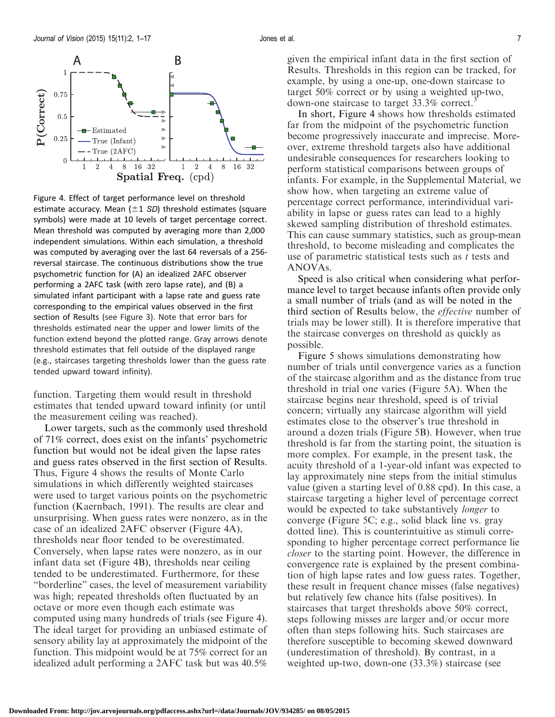<span id="page-6-0"></span>

Figure 4. Effect of target performance level on threshold estimate accuracy. Mean  $(\pm 1 \text{ SD})$  threshold estimates (square symbols) were made at 10 levels of target percentage correct. Mean threshold was computed by averaging more than 2,000 independent simulations. Within each simulation, a threshold was computed by averaging over the last 64 reversals of a 256 reversal staircase. The continuous distributions show the true psychometric function for (A) an idealized 2AFC observer performing a 2AFC task (with zero lapse rate), and (B) a simulated infant participant with a lapse rate and guess rate corresponding to the empirical values observed in the first section of [Results](#page-4-0) (see [Figure 3\)](#page-5-0). Note that error bars for thresholds estimated near the upper and lower limits of the function extend beyond the plotted range. Gray arrows denote threshold estimates that fell outside of the displayed range (e.g., staircases targeting thresholds lower than the guess rate tended upward toward infinity).

function. Targeting them would result in threshold estimates that tended upward toward infinity (or until the measurement ceiling was reached).

Lower targets, such as the commonly used threshold of 71% correct, does exist on the infants' psychometric function but would not be ideal given the lapse rates and guess rates observed in the first section of [Results](#page-4-0). Thus, Figure 4 shows the results of Monte Carlo simulations in which differently weighted staircases were used to target various points on the psychometric function (Kaernbach, [1991\)](#page-14-0). The results are clear and unsurprising. When guess rates were nonzero, as in the case of an idealized 2AFC observer (Figure 4A), thresholds near floor tended to be overestimated. Conversely, when lapse rates were nonzero, as in our infant data set (Figure 4B), thresholds near ceiling tended to be underestimated. Furthermore, for these ''borderline'' cases, the level of measurement variability was high; repeated thresholds often fluctuated by an octave or more even though each estimate was computed using many hundreds of trials (see Figure 4). The ideal target for providing an unbiased estimate of sensory ability lay at approximately the midpoint of the function. This midpoint would be at 75% correct for an idealized adult performing a 2AFC task but was 40.5%

given the empirical infant data in the first section of [Results](#page-4-0). Thresholds in this region can be tracked, for example, by using a one-up, one-down staircase to target 50% correct or by using a weighted up-two, down-one staircase to target [3](#page-13-0)3.3% correct.<sup>3</sup>

In short, Figure 4 shows how thresholds estimated far from the midpoint of the psychometric function become progressively inaccurate and imprecise. Moreover, extreme threshold targets also have additional undesirable consequences for researchers looking to perform statistical comparisons between groups of infants. For example, in the [Supplemental Material](http://), we show how, when targeting an extreme value of percentage correct performance, interindividual variability in lapse or guess rates can lead to a highly skewed sampling distribution of threshold estimates. This can cause summary statistics, such as group-mean threshold, to become misleading and complicates the use of parametric statistical tests such as  $t$  tests and ANOVAs.

Speed is also critical when considering what performance level to target because infants often provide only a small number of trials (and as will be noted in the third section of [Results](#page-4-0) below, the effective number of trials may be lower still). It is therefore imperative that the staircase converges on threshold as quickly as possible.

[Figure 5](#page-7-0) shows simulations demonstrating how number of trials until convergence varies as a function of the staircase algorithm and as the distance from true threshold in trial one varies [\(Figure 5A](#page-7-0)). When the staircase begins near threshold, speed is of trivial concern; virtually any staircase algorithm will yield estimates close to the observer's true threshold in around a dozen trials ([Figure 5B](#page-7-0)). However, when true threshold is far from the starting point, the situation is more complex. For example, in the present task, the acuity threshold of a 1-year-old infant was expected to lay approximately nine steps from the initial stimulus value (given a starting level of 0.88 cpd). In this case, a staircase targeting a higher level of percentage correct would be expected to take substantively *longer* to converge ([Figure 5C;](#page-7-0) e.g., solid black line vs. gray dotted line). This is counterintuitive as stimuli corresponding to higher percentage correct performance lie closer to the starting point. However, the difference in convergence rate is explained by the present combination of high lapse rates and low guess rates. Together, these result in frequent chance misses (false negatives) but relatively few chance hits (false positives). In staircases that target thresholds above 50% correct, steps following misses are larger and/or occur more often than steps following hits. Such staircases are therefore susceptible to becoming skewed downward (underestimation of threshold). By contrast, in a weighted up-two, down-one (33.3%) staircase (see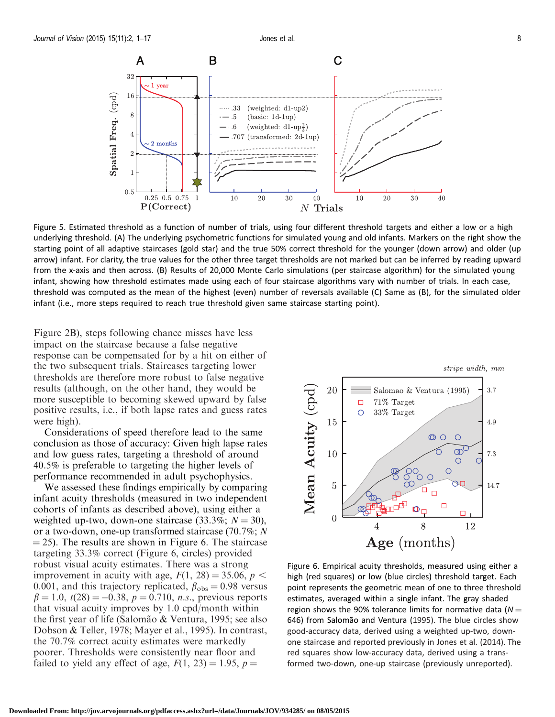<span id="page-7-0"></span>

Figure 5. Estimated threshold as a function of number of trials, using four different threshold targets and either a low or a high underlying threshold. (A) The underlying psychometric functions for simulated young and old infants. Markers on the right show the starting point of all adaptive staircases (gold star) and the true 50% correct threshold for the younger (down arrow) and older (up arrow) infant. For clarity, the true values for the other three target thresholds are not marked but can be inferred by reading upward from the x-axis and then across. (B) Results of 20,000 Monte Carlo simulations (per staircase algorithm) for the simulated young infant, showing how threshold estimates made using each of four staircase algorithms vary with number of trials. In each case, threshold was computed as the mean of the highest (even) number of reversals available (C) Same as (B), for the simulated older infant (i.e., more steps required to reach true threshold given same staircase starting point).

[Figure 2B](#page-3-0)), steps following chance misses have less impact on the staircase because a false negative response can be compensated for by a hit on either of the two subsequent trials. Staircases targeting lower thresholds are therefore more robust to false negative results (although, on the other hand, they would be more susceptible to becoming skewed upward by false positive results, i.e., if both lapse rates and guess rates were high).

Considerations of speed therefore lead to the same conclusion as those of accuracy: Given high lapse rates and low guess rates, targeting a threshold of around 40.5% is preferable to targeting the higher levels of performance recommended in adult psychophysics.

We assessed these findings empirically by comparing infant acuity thresholds (measured in two independent cohorts of infants as described above), using either a weighted up-two, down-one staircase (33.3%;  $N = 30$ ), or a two-down, one-up transformed staircase (70.7%; N  $=$  25). The results are shown in Figure 6. The staircase targeting 33.3% correct (Figure 6, circles) provided robust visual acuity estimates. There was a strong improvement in acuity with age,  $F(1, 28) = 35.06$ ,  $p <$ 0.001, and this trajectory replicated,  $\beta_{\rm obs} = 0.98$  versus  $\beta = 1.0$ ,  $t(28) = -0.38$ ,  $p = 0.710$ , n.s., previous reports that visual acuity improves by 1.0 cpd/month within the first year of life (Salomão & Ventura, [1995;](#page-15-0) see also Dobson & Teller, [1978;](#page-14-0) Mayer et al., [1995\)](#page-15-0). In contrast, the 70.7% correct acuity estimates were markedly poorer. Thresholds were consistently near floor and failed to yield any effect of age,  $F(1, 23) = 1.95$ ,  $p =$ 



Figure 6. Empirical acuity thresholds, measured using either a high (red squares) or low (blue circles) threshold target. Each point represents the geometric mean of one to three threshold estimates, averaged within a single infant. The gray shaded region shows the 90% tolerance limits for normative data ( $N =$ 646) from Salomão and Ventura [\(1995](#page-15-0)). The blue circles show good-accuracy data, derived using a weighted up-two, downone staircase and reported previously in Jones et al. ([2014\)](#page-14-0). The red squares show low-accuracy data, derived using a transformed two-down, one-up staircase (previously unreported).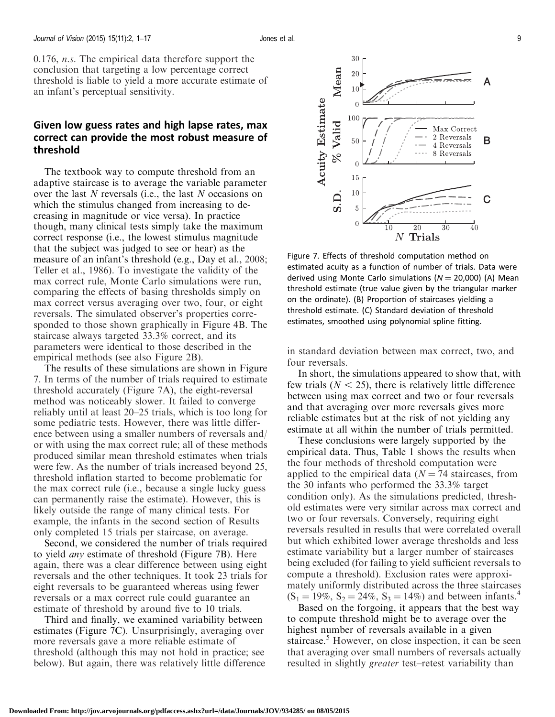<span id="page-8-0"></span>0.176, n.s. The empirical data therefore support the conclusion that targeting a low percentage correct threshold is liable to yield a more accurate estimate of an infant's perceptual sensitivity.

### Given low guess rates and high lapse rates, max correct can provide the most robust measure of threshold

The textbook way to compute threshold from an adaptive staircase is to average the variable parameter over the last N reversals (i.e., the last N occasions on which the stimulus changed from increasing to decreasing in magnitude or vice versa). In practice though, many clinical tests simply take the maximum correct response (i.e., the lowest stimulus magnitude that the subject was judged to see or hear) as the measure of an infant's threshold (e.g., Day et al., [2008](#page-14-0); Teller et al., [1986\)](#page-15-0). To investigate the validity of the max correct rule, Monte Carlo simulations were run, comparing the effects of basing thresholds simply on max correct versus averaging over two, four, or eight reversals. The simulated observer's properties corresponded to those shown graphically in [Figure 4B](#page-6-0). The staircase always targeted 33.3% correct, and its parameters were identical to those described in the empirical methods (see also [Figure 2B\)](#page-3-0).

The results of these simulations are shown in Figure 7. In terms of the number of trials required to estimate threshold accurately (Figure 7A), the eight-reversal method was noticeably slower. It failed to converge reliably until at least 20–25 trials, which is too long for some pediatric tests. However, there was little difference between using a smaller numbers of reversals and/ or with using the max correct rule; all of these methods produced similar mean threshold estimates when trials were few. As the number of trials increased beyond 25, threshold inflation started to become problematic for the max correct rule (i.e., because a single lucky guess can permanently raise the estimate). However, this is likely outside the range of many clinical tests. For example, the infants in the second section of [Results](#page-4-0) only completed 15 trials per staircase, on average.

Second, we considered the number of trials required to yield any estimate of threshold (Figure 7B). Here again, there was a clear difference between using eight reversals and the other techniques. It took 23 trials for eight reversals to be guaranteed whereas using fewer reversals or a max correct rule could guarantee an estimate of threshold by around five to 10 trials.

Third and finally, we examined variability between estimates (Figure 7C). Unsurprisingly, averaging over more reversals gave a more reliable estimate of threshold (although this may not hold in practice; see below). But again, there was relatively little difference



30



Figure 7. Effects of threshold computation method on estimated acuity as a function of number of trials. Data were derived using Monte Carlo simulations ( $N = 20,000$ ) (A) Mean threshold estimate (true value given by the triangular marker on the ordinate). (B) Proportion of staircases yielding a threshold estimate. (C) Standard deviation of threshold estimates, smoothed using polynomial spline fitting.

in standard deviation between max correct, two, and four reversals.

In short, the simulations appeared to show that, with few trials ( $N < 25$ ), there is relatively little difference between using max correct and two or four reversals and that averaging over more reversals gives more reliable estimates but at the risk of not yielding any estimate at all within the number of trials permitted.

These conclusions were largely supported by the empirical data. Thus, [Table 1](#page-9-0) shows the results when the four methods of threshold computation were applied to the empirical data ( $N = 74$  staircases, from the 30 infants who performed the 33.3% target condition only). As the simulations predicted, threshold estimates were very similar across max correct and two or four reversals. Conversely, requiring eight reversals resulted in results that were correlated overall but which exhibited lower average thresholds and less estimate variability but a larger number of staircases being excluded (for failing to yield sufficient reversals to compute a threshold). Exclusion rates were approximately uniformly distributed across the three staircases  $(S_1 = 19\%, S_2 = 24\%, S_3 = 14\%)$  and between infants.<sup>4</sup>

Based on the forgoing, it appears that the best way to compute threshold might be to average over the highest number of reversals available in a given staircase.<sup>[5](#page-13-0)</sup> However, on close inspection, it can be seen that averaging over small numbers of reversals actually resulted in slightly greater test–retest variability than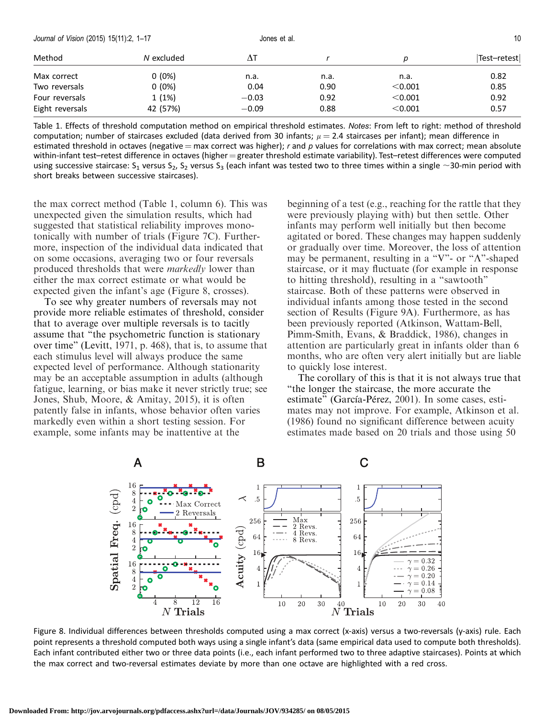<span id="page-9-0"></span>Journal of Vision (2015) 15(11):2, 1–17 **Subseteral Security Convention Convention** Jones et al. 10

| Method          | N excluded | ΔT      |      |           | Test-retest |
|-----------------|------------|---------|------|-----------|-------------|
| Max correct     | $0(0\%)$   | n.a.    | n.a. | n.a.      | 0.82        |
| Two reversals   | $0(0\%)$   | 0.04    | 0.90 | < 0.001   | 0.85        |
| Four reversals  | 1(1%)      | $-0.03$ | 0.92 | < 0.001   | 0.92        |
| Eight reversals | 42 (57%)   | $-0.09$ | 0.88 | $<$ 0.001 | 0.57        |

Table 1. Effects of threshold computation method on empirical threshold estimates. Notes: From left to right: method of threshold computation; number of staircases excluded (data derived from 30 infants;  $\mu = 2.4$  staircases per infant); mean difference in estimated threshold in octaves (negative  $=$  max correct was higher); r and p values for correlations with max correct; mean absolute within-infant test–retest difference in octaves (higher = greater threshold estimate variability). Test–retest differences were computed using successive staircase: S<sub>1</sub> versus S<sub>2</sub>, S<sub>2</sub> versus S<sub>3</sub> (each infant was tested two to three times within a single ~30-min period with short breaks between successive staircases).

the max correct method (Table 1, column 6). This was unexpected given the simulation results, which had suggested that statistical reliability improves monotonically with number of trials [\(Figure 7C\)](#page-8-0). Furthermore, inspection of the individual data indicated that on some occasions, averaging two or four reversals produced thresholds that were markedly lower than either the max correct estimate or what would be expected given the infant's age (Figure 8, crosses).

To see why greater numbers of reversals may not provide more reliable estimates of threshold, consider that to average over multiple reversals is to tacitly assume that ''the psychometric function is stationary over time'' (Levitt, [1971](#page-15-0), p. 468), that is, to assume that each stimulus level will always produce the same expected level of performance. Although stationarity may be an acceptable assumption in adults (although fatigue, learning, or bias make it never strictly true; see Jones, Shub, Moore, & Amitay, [2015](#page-14-0)), it is often patently false in infants, whose behavior often varies markedly even within a short testing session. For example, some infants may be inattentive at the

beginning of a test (e.g., reaching for the rattle that they were previously playing with) but then settle. Other infants may perform well initially but then become agitated or bored. These changes may happen suddenly or gradually over time. Moreover, the loss of attention may be permanent, resulting in a "V"- or " $\Lambda$ "-shaped staircase, or it may fluctuate (for example in response to hitting threshold), resulting in a ''sawtooth'' staircase. Both of these patterns were observed in individual infants among those tested in the second section of [Results](#page-4-0) [\(Figure 9A](#page-10-0)). Furthermore, as has been previously reported (Atkinson, Wattam-Bell, Pimm-Smith, Evans, & Braddick, [1986](#page-13-0)), changes in attention are particularly great in infants older than 6 months, who are often very alert initially but are liable to quickly lose interest.

The corollary of this is that it is not always true that ''the longer the staircase, the more accurate the estimate" (García-Pérez, [2001\)](#page-14-0). In some cases, estimates may not improve. For example, Atkinson et al. ([1986](#page-13-0)) found no significant difference between acuity estimates made based on 20 trials and those using 50



Figure 8. Individual differences between thresholds computed using a max correct (x-axis) versus a two-reversals (y-axis) rule. Each point represents a threshold computed both ways using a single infant's data (same empirical data used to compute both thresholds). Each infant contributed either two or three data points (i.e., each infant performed two to three adaptive staircases). Points at which the max correct and two-reversal estimates deviate by more than one octave are highlighted with a red cross.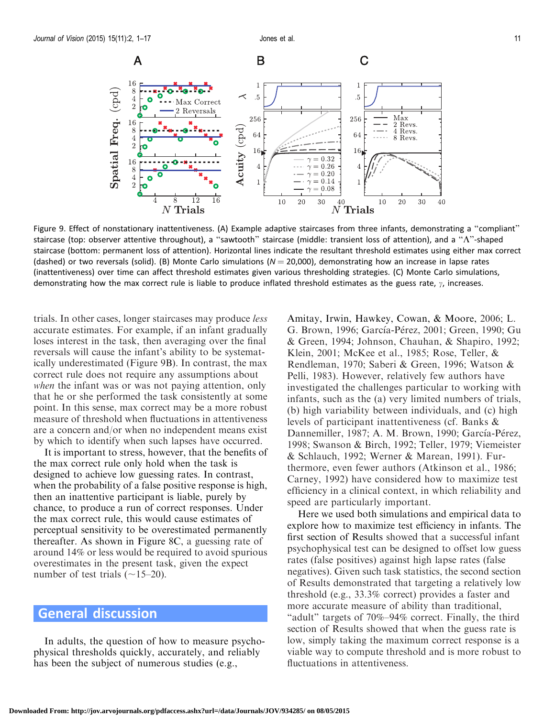<span id="page-10-0"></span>

Figure 9. Effect of nonstationary inattentiveness. (A) Example adaptive staircases from three infants, demonstrating a ''compliant'' staircase (top: observer attentive throughout), a ''sawtooth'' staircase (middle: transient loss of attention), and a ''K''-shaped staircase (bottom: permanent loss of attention). Horizontal lines indicate the resultant threshold estimates using either max correct (dashed) or two reversals (solid). (B) Monte Carlo simulations ( $N = 20,000$ ), demonstrating how an increase in lapse rates (inattentiveness) over time can affect threshold estimates given various thresholding strategies. (C) Monte Carlo simulations, demonstrating how the max correct rule is liable to produce inflated threshold estimates as the guess rate,  $\gamma$ , increases.

trials. In other cases, longer staircases may produce less accurate estimates. For example, if an infant gradually loses interest in the task, then averaging over the final reversals will cause the infant's ability to be systematically underestimated (Figure 9B). In contrast, the max correct rule does not require any assumptions about when the infant was or was not paying attention, only that he or she performed the task consistently at some point. In this sense, max correct may be a more robust measure of threshold when fluctuations in attentiveness are a concern and/or when no independent means exist by which to identify when such lapses have occurred.

It is important to stress, however, that the benefits of the max correct rule only hold when the task is designed to achieve low guessing rates. In contrast, when the probability of a false positive response is high, then an inattentive participant is liable, purely by chance, to produce a run of correct responses. Under the max correct rule, this would cause estimates of perceptual sensitivity to be overestimated permanently thereafter. As shown in [Figure 8C,](#page-9-0) a guessing rate of around 14% or less would be required to avoid spurious overestimates in the present task, given the expect number of test trials  $(\sim15-20)$ .

# General discussion

In adults, the question of how to measure psychophysical thresholds quickly, accurately, and reliably has been the subject of numerous studies (e.g.,

Amitay, Irwin, Hawkey, Cowan, & Moore, [2006](#page-13-0); L. G. Brown, [1996;](#page-14-0) García-Pérez, [2001;](#page-14-0) Green, [1990;](#page-14-0) Gu & Green, [1994;](#page-14-0) Johnson, Chauhan, & Shapiro, [1992](#page-14-0); Klein, [2001](#page-15-0); McKee et al., [1985;](#page-15-0) Rose, Teller, & Rendleman, [1970;](#page-15-0) Saberi & Green, [1996;](#page-15-0) Watson & Pelli, [1983\)](#page-16-0). However, relatively few authors have investigated the challenges particular to working with infants, such as the (a) very limited numbers of trials, (b) high variability between individuals, and (c) high levels of participant inattentiveness (cf. Banks & Dannemiller, [1987;](#page-13-0) A. M. Brown, [1990;](#page-14-0) García-Pérez, [1998](#page-14-0); Swanson & Birch, [1992;](#page-15-0) Teller, [1979;](#page-15-0) Viemeister & Schlauch, [1992](#page-15-0); Werner & Marean, [1991\)](#page-16-0). Furthermore, even fewer authors (Atkinson et al., [1986;](#page-13-0) Carney, [1992\)](#page-14-0) have considered how to maximize test efficiency in a clinical context, in which reliability and speed are particularly important.

Here we used both simulations and empirical data to explore how to maximize test efficiency in infants. The first section of [Results](#page-4-0) showed that a successful infant psychophysical test can be designed to offset low guess rates (false positives) against high lapse rates (false negatives). Given such task statistics, the second section of [Results](#page-4-0) demonstrated that targeting a relatively low threshold (e.g., 33.3% correct) provides a faster and more accurate measure of ability than traditional, "adult" targets of 70%–94% correct. Finally, the third section of [Results](#page-4-0) showed that when the guess rate is low, simply taking the maximum correct response is a viable way to compute threshold and is more robust to fluctuations in attentiveness.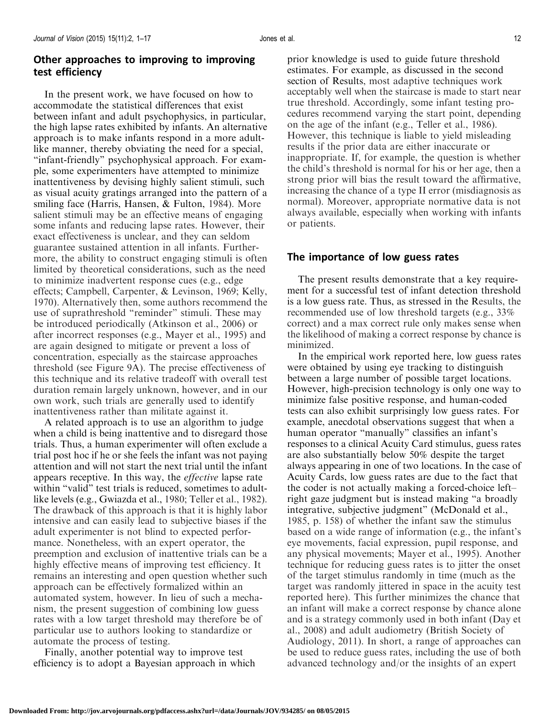### Other approaches to improving to improving test efficiency

In the present work, we have focused on how to accommodate the statistical differences that exist between infant and adult psychophysics, in particular, the high lapse rates exhibited by infants. An alternative approach is to make infants respond in a more adultlike manner, thereby obviating the need for a special, ''infant-friendly'' psychophysical approach. For example, some experimenters have attempted to minimize inattentiveness by devising highly salient stimuli, such as visual acuity gratings arranged into the pattern of a smiling face (Harris, Hansen, & Fulton, [1984\)](#page-14-0). More salient stimuli may be an effective means of engaging some infants and reducing lapse rates. However, their exact effectiveness is unclear, and they can seldom guarantee sustained attention in all infants. Furthermore, the ability to construct engaging stimuli is often limited by theoretical considerations, such as the need to minimize inadvertent response cues (e.g., edge effects; Campbell, Carpenter, & Levinson, [1969;](#page-14-0) Kelly, [1970\)](#page-14-0). Alternatively then, some authors recommend the use of suprathreshold ''reminder'' stimuli. These may be introduced periodically (Atkinson et al., [2006\)](#page-13-0) or after incorrect responses (e.g., Mayer et al., [1995\)](#page-15-0) and are again designed to mitigate or prevent a loss of concentration, especially as the staircase approaches threshold (see [Figure 9A](#page-10-0)). The precise effectiveness of this technique and its relative tradeoff with overall test duration remain largely unknown, however, and in our own work, such trials are generally used to identify inattentiveness rather than militate against it.

A related approach is to use an algorithm to judge when a child is being inattentive and to disregard those trials. Thus, a human experimenter will often exclude a trial post hoc if he or she feels the infant was not paying attention and will not start the next trial until the infant appears receptive. In this way, the effective lapse rate within "valid" test trials is reduced, sometimes to adultlike levels (e.g., Gwiazda et al., [1980](#page-14-0); Teller et al., [1982](#page-15-0)). The drawback of this approach is that it is highly labor intensive and can easily lead to subjective biases if the adult experimenter is not blind to expected performance. Nonetheless, with an expert operator, the preemption and exclusion of inattentive trials can be a highly effective means of improving test efficiency. It remains an interesting and open question whether such approach can be effectively formalized within an automated system, however. In lieu of such a mechanism, the present suggestion of combining low guess rates with a low target threshold may therefore be of particular use to authors looking to standardize or automate the process of testing.

Finally, another potential way to improve test efficiency is to adopt a Bayesian approach in which prior knowledge is used to guide future threshold estimates. For example, as discussed in the second section of [Results,](#page-4-0) most adaptive techniques work acceptably well when the staircase is made to start near true threshold. Accordingly, some infant testing procedures recommend varying the start point, depending on the age of the infant (e.g., Teller et al., [1986](#page-15-0)). However, this technique is liable to yield misleading results if the prior data are either inaccurate or inappropriate. If, for example, the question is whether the child's threshold is normal for his or her age, then a strong prior will bias the result toward the affirmative, increasing the chance of a type II error (misdiagnosis as normal). Moreover, appropriate normative data is not always available, especially when working with infants or patients.

#### The importance of low guess rates

The present results demonstrate that a key requirement for a successful test of infant detection threshold is a low guess rate. Thus, as stressed in the [Results](#page-4-0), the recommended use of low threshold targets (e.g., 33% correct) and a max correct rule only makes sense when the likelihood of making a correct response by chance is minimized.

In the empirical work reported here, low guess rates were obtained by using eye tracking to distinguish between a large number of possible target locations. However, high-precision technology is only one way to minimize false positive response, and human-coded tests can also exhibit surprisingly low guess rates. For example, anecdotal observations suggest that when a human operator ''manually'' classifies an infant's responses to a clinical Acuity Card stimulus, guess rates are also substantially below 50% despite the target always appearing in one of two locations. In the case of Acuity Cards, low guess rates are due to the fact that the coder is not actually making a forced-choice left– right gaze judgment but is instead making ''a broadly integrative, subjective judgment'' (McDonald et al., [1985,](#page-15-0) p. 158) of whether the infant saw the stimulus based on a wide range of information (e.g., the infant's eye movements, facial expression, pupil response, and any physical movements; Mayer et al., [1995](#page-15-0)). Another technique for reducing guess rates is to jitter the onset of the target stimulus randomly in time (much as the target was randomly jittered in space in the acuity test reported here). This further minimizes the chance that an infant will make a correct response by chance alone and is a strategy commonly used in both infant (Day et al., [2008\)](#page-14-0) and adult audiometry (British Society of Audiology, [2011\)](#page-14-0). In short, a range of approaches can be used to reduce guess rates, including the use of both advanced technology and/or the insights of an expert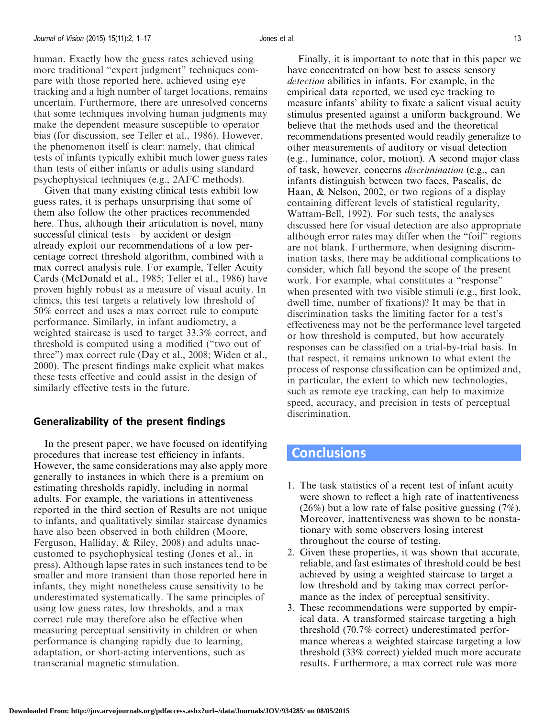human. Exactly how the guess rates achieved using more traditional "expert judgment" techniques compare with those reported here, achieved using eye tracking and a high number of target locations, remains uncertain. Furthermore, there are unresolved concerns that some techniques involving human judgments may make the dependent measure susceptible to operator bias (for discussion, see Teller et al., [1986\)](#page-15-0). However, the phenomenon itself is clear: namely, that clinical tests of infants typically exhibit much lower guess rates than tests of either infants or adults using standard psychophysical techniques (e.g., 2AFC methods).

Given that many existing clinical tests exhibit low guess rates, it is perhaps unsurprising that some of them also follow the other practices recommended here. Thus, although their articulation is novel, many successful clinical tests—by accident or design already exploit our recommendations of a low percentage correct threshold algorithm, combined with a max correct analysis rule. For example, Teller Acuity Cards (McDonald et al., [1985;](#page-15-0) Teller et al., [1986](#page-15-0)) have proven highly robust as a measure of visual acuity. In clinics, this test targets a relatively low threshold of 50% correct and uses a max correct rule to compute performance. Similarly, in infant audiometry, a weighted staircase is used to target 33.3% correct, and threshold is computed using a modified (''two out of three'') max correct rule (Day et al., [2008;](#page-14-0) Widen et al., [2000\)](#page-16-0). The present findings make explicit what makes these tests effective and could assist in the design of similarly effective tests in the future.

#### Generalizability of the present findings

In the present paper, we have focused on identifying procedures that increase test efficiency in infants. However, the same considerations may also apply more generally to instances in which there is a premium on estimating thresholds rapidly, including in normal adults. For example, the variations in attentiveness reported in the third section of [Results](#page-4-0) are not unique to infants, and qualitatively similar staircase dynamics have also been observed in both children (Moore, Ferguson, Halliday, & Riley, [2008\)](#page-15-0) and adults unaccustomed to psychophysical testing ([Jones et al., in](#page-14-0) [press](#page-14-0)). Although lapse rates in such instances tend to be smaller and more transient than those reported here in infants, they might nonetheless cause sensitivity to be underestimated systematically. The same principles of using low guess rates, low thresholds, and a max correct rule may therefore also be effective when measuring perceptual sensitivity in children or when performance is changing rapidly due to learning, adaptation, or short-acting interventions, such as transcranial magnetic stimulation.

Finally, it is important to note that in this paper we have concentrated on how best to assess sensory detection abilities in infants. For example, in the empirical data reported, we used eye tracking to measure infants' ability to fixate a salient visual acuity stimulus presented against a uniform background. We believe that the methods used and the theoretical recommendations presented would readily generalize to other measurements of auditory or visual detection (e.g., luminance, color, motion). A second major class of task, however, concerns discrimination (e.g., can infants distinguish between two faces, Pascalis, de Haan, & Nelson, [2002](#page-15-0), or two regions of a display containing different levels of statistical regularity, Wattam-Bell, [1992](#page-16-0)). For such tests, the analyses discussed here for visual detection are also appropriate although error rates may differ when the ''foil'' regions are not blank. Furthermore, when designing discrimination tasks, there may be additional complications to consider, which fall beyond the scope of the present work. For example, what constitutes a ''response'' when presented with two visible stimuli (e.g., first look, dwell time, number of fixations)? It may be that in discrimination tasks the limiting factor for a test's effectiveness may not be the performance level targeted or how threshold is computed, but how accurately responses can be classified on a trial-by-trial basis. In that respect, it remains unknown to what extent the process of response classification can be optimized and, in particular, the extent to which new technologies, such as remote eye tracking, can help to maximize speed, accuracy, and precision in tests of perceptual discrimination.

## **Conclusions**

- 1. The task statistics of a recent test of infant acuity were shown to reflect a high rate of inattentiveness (26%) but a low rate of false positive guessing (7%). Moreover, inattentiveness was shown to be nonstationary with some observers losing interest throughout the course of testing.
- 2. Given these properties, it was shown that accurate, reliable, and fast estimates of threshold could be best achieved by using a weighted staircase to target a low threshold and by taking max correct performance as the index of perceptual sensitivity.
- 3. These recommendations were supported by empirical data. A transformed staircase targeting a high threshold (70.7% correct) underestimated performance whereas a weighted staircase targeting a low threshold (33% correct) yielded much more accurate results. Furthermore, a max correct rule was more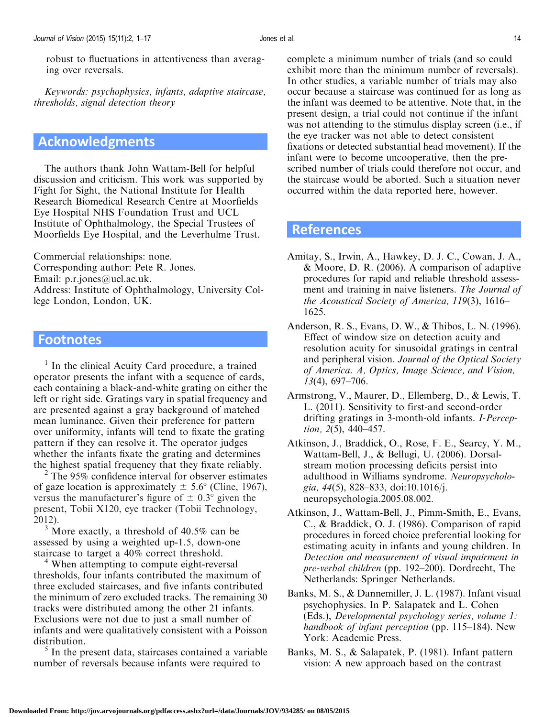<span id="page-13-0"></span>robust to fluctuations in attentiveness than averaging over reversals.

Keywords: psychophysics, infants, adaptive staircase, thresholds, signal detection theory

# Acknowledgments

The authors thank John Wattam-Bell for helpful discussion and criticism. This work was supported by Fight for Sight, the National Institute for Health Research Biomedical Research Centre at Moorfields Eye Hospital NHS Foundation Trust and UCL Institute of Ophthalmology, the Special Trustees of Moorfields Eye Hospital, and the Leverhulme Trust.

Commercial relationships: none. Corresponding author: Pete R. Jones. Email: p.r.jones@ucl.ac.uk. Address: Institute of Ophthalmology, University College London, London, UK.

### **Footnotes**

<sup>1</sup> In the clinical Acuity Card procedure, a trained operator presents the infant with a sequence of cards, each containing a black-and-white grating on either the left or right side. Gratings vary in spatial frequency and are presented against a gray background of matched mean luminance. Given their preference for pattern over uniformity, infants will tend to fixate the grating pattern if they can resolve it. The operator judges whether the infants fixate the grating and determines the highest spatial frequency that they fixate reliably.

 $2$  The 95% confidence interval for observer estimates of gaze location is approximately  $\pm$  5.6° (Cline, 1967), versus the manufacturer's figure of  $\pm$  0.3° given the present, Tobii X120, eye tracker (Tobii Technology, 2012).

<sup>3</sup> More exactly, a threshold of 40.5% can be assessed by using a weighted up-1.5, down-one staircase to target a 40% correct threshold.

<sup>4</sup> When attempting to compute eight-reversal thresholds, four infants contributed the maximum of three excluded staircases, and five infants contributed the minimum of zero excluded tracks. The remaining 30 tracks were distributed among the other 21 infants. Exclusions were not due to just a small number of infants and were qualitatively consistent with a Poisson distribution.

 $<sup>5</sup>$  In the present data, staircases contained a variable</sup> number of reversals because infants were required to

complete a minimum number of trials (and so could exhibit more than the minimum number of reversals). In other studies, a variable number of trials may also occur because a staircase was continued for as long as the infant was deemed to be attentive. Note that, in the present design, a trial could not continue if the infant was not attending to the stimulus display screen (i.e., if the eye tracker was not able to detect consistent fixations or detected substantial head movement). If the infant were to become uncooperative, then the prescribed number of trials could therefore not occur, and the staircase would be aborted. Such a situation never occurred within the data reported here, however.

### References

- Amitay, S., Irwin, A., Hawkey, D. J. C., Cowan, J. A., & Moore, D. R. (2006). A comparison of adaptive procedures for rapid and reliable threshold assessment and training in naive listeners. The Journal of the Acoustical Society of America, 119(3), 1616– 1625.
- Anderson, R. S., Evans, D. W., & Thibos, L. N. (1996). Effect of window size on detection acuity and resolution acuity for sinusoidal gratings in central and peripheral vision. Journal of the Optical Society of America. A, Optics, Image Science, and Vision, 13(4), 697–706.
- Armstrong, V., Maurer, D., Ellemberg, D., & Lewis, T. L. (2011). Sensitivity to first-and second-order drifting gratings in 3-month-old infants. I-Perception, 2(5), 440–457.
- Atkinson, J., Braddick, O., Rose, F. E., Searcy, Y. M., Wattam-Bell, J., & Bellugi, U. (2006). Dorsalstream motion processing deficits persist into adulthood in Williams syndrome. Neuropsychologia, 44(5), 828–833, doi:10.1016/j. neuropsychologia.2005.08.002.
- Atkinson, J., Wattam-Bell, J., Pimm-Smith, E., Evans, C., & Braddick, O. J. (1986). Comparison of rapid procedures in forced choice preferential looking for estimating acuity in infants and young children. In Detection and measurement of visual impairment in pre-verbal children (pp. 192–200). Dordrecht, The Netherlands: Springer Netherlands.
- Banks, M. S., & Dannemiller, J. L. (1987). Infant visual psychophysics. In P. Salapatek and L. Cohen (Eds.), Developmental psychology series, volume 1: handbook of infant perception (pp. 115–184). New York: Academic Press.
- Banks, M. S., & Salapatek, P. (1981). Infant pattern vision: A new approach based on the contrast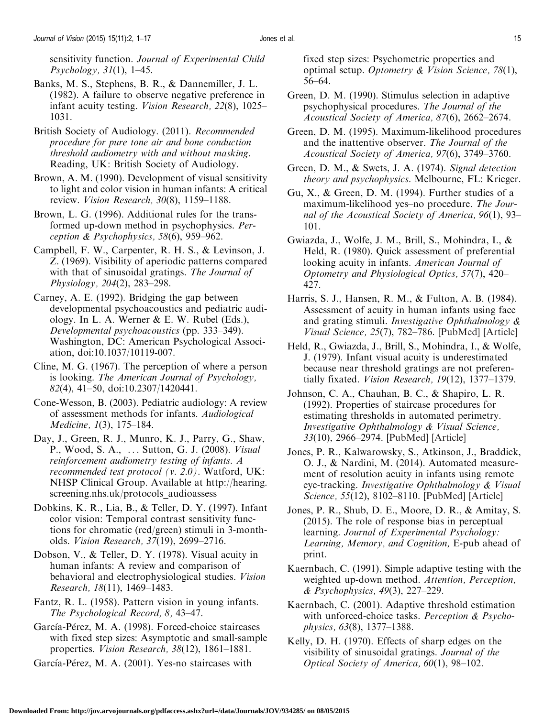<span id="page-14-0"></span>sensitivity function. Journal of Experimental Child Psychology, 31(1), 1–45.

- Banks, M. S., Stephens, B. R., & Dannemiller, J. L. (1982). A failure to observe negative preference in infant acuity testing. Vision Research, 22(8), 1025– 1031.
- British Society of Audiology. (2011). Recommended procedure for pure tone air and bone conduction threshold audiometry with and without masking. Reading, UK: British Society of Audiology.
- Brown, A. M. (1990). Development of visual sensitivity to light and color vision in human infants: A critical review. Vision Research, 30(8), 1159–1188.
- Brown, L. G. (1996). Additional rules for the transformed up-down method in psychophysics. Perception & Psychophysics, 58(6), 959–962.
- Campbell, F. W., Carpenter, R. H. S., & Levinson, J. Z. (1969). Visibility of aperiodic patterns compared with that of sinusoidal gratings. The Journal of Physiology, 204(2), 283–298.
- Carney, A. E. (1992). Bridging the gap between developmental psychoacoustics and pediatric audiology. In L. A. Werner & E. W. Rubel (Eds.), Developmental psychoacoustics (pp. 333–349). Washington, DC: American Psychological Association, doi:10.1037/10119-007.
- Cline, M. G. (1967). The perception of where a person is looking. The American Journal of Psychology, 82(4), 41–50, doi:10.2307/1420441.
- Cone-Wesson, B. (2003). Pediatric audiology: A review of assessment methods for infants. Audiological Medicine, 1(3), 175–184.
- Day, J., Green, R. J., Munro, K. J., Parry, G., Shaw, P., Wood, S. A., ... Sutton, G. J. (2008). *Visual* reinforcement audiometry testing of infants. A recommended test protocol (v. 2.0). Watford, UK: NHSP Clinical Group. Available at http://hearing. screening.nhs.uk/protocols\_audioassess
- Dobkins, K. R., Lia, B., & Teller, D. Y. (1997). Infant color vision: Temporal contrast sensitivity functions for chromatic (red/green) stimuli in 3-montholds. Vision Research, 37(19), 2699–2716.
- Dobson, V., & Teller, D. Y. (1978). Visual acuity in human infants: A review and comparison of behavioral and electrophysiological studies. Vision Research, 18(11), 1469–1483.
- Fantz, R. L. (1958). Pattern vision in young infants. The Psychological Record, 8, 43–47.
- García-Pérez, M. A. (1998). Forced-choice staircases with fixed step sizes: Asymptotic and small-sample properties. Vision Research, 38(12), 1861–1881.
- García-Pérez, M. A. (2001). Yes-no staircases with

fixed step sizes: Psychometric properties and optimal setup. Optometry & Vision Science, 78(1), 56–64.

- Green, D. M. (1990). Stimulus selection in adaptive psychophysical procedures. The Journal of the Acoustical Society of America, 87(6), 2662–2674.
- Green, D. M. (1995). Maximum-likelihood procedures and the inattentive observer. The Journal of the Acoustical Society of America, 97(6), 3749–3760.
- Green, D. M., & Swets, J. A. (1974). Signal detection theory and psychophysics. Melbourne, FL: Krieger.
- Gu, X., & Green, D. M. (1994). Further studies of a maximum-likelihood yes–no procedure. The Journal of the Acoustical Society of America, 96(1), 93– 101.
- Gwiazda, J., Wolfe, J. M., Brill, S., Mohindra, I., & Held, R. (1980). Quick assessment of preferential looking acuity in infants. American Journal of Optometry and Physiological Optics, 57(7), 420– 427.
- Harris, S. J., Hansen, R. M., & Fulton, A. B. (1984). Assessment of acuity in human infants using face and grating stimuli. Investigative Ophthalmology & Visual Science, 25(7), 782–786. [[PubMed\]](http://www.ncbi.nlm.nih.gov/pubmed/6735642) [\[Article](http://iovs.arvojournals.org/article.aspx?articleid=2176917)]
- Held, R., Gwiazda, J., Brill, S., Mohindra, I., & Wolfe, J. (1979). Infant visual acuity is underestimated because near threshold gratings are not preferentially fixated. Vision Research, 19(12), 1377–1379.
- Johnson, C. A., Chauhan, B. C., & Shapiro, L. R. (1992). Properties of staircase procedures for estimating thresholds in automated perimetry. Investigative Ophthalmology & Visual Science, 33(10), 2966–2974. [[PubMed\]](http://www.ncbi.nlm.nih.gov/pubmed/1526745) [\[Article](http://iovs.arvojournals.org/article.aspx?articleid=2160850)]
- Jones, P. R., Kalwarowsky, S., Atkinson, J., Braddick, O. J., & Nardini, M. (2014). Automated measurement of resolution acuity in infants using remote eye-tracking. Investigative Ophthalmology & Visual Science, 55(12), 8102–8110. [\[PubMed\]](http://www.ncbi.nlm.nih.gov/pubmed/25352118) [\[Article](http://iovs.arvojournals.org/article.aspx?articleid=2212669)]
- Jones, P. R., Shub, D. E., Moore, D. R., & Amitay, S. (2015). The role of response bias in perceptual learning. Journal of Experimental Psychology: Learning, Memory, and Cognition, E-pub ahead of print.
- Kaernbach, C. (1991). Simple adaptive testing with the weighted up-down method. Attention, Perception, & Psychophysics, 49(3), 227–229.
- Kaernbach, C. (2001). Adaptive threshold estimation with unforced-choice tasks. Perception & Psychophysics, 63(8), 1377–1388.
- Kelly, D. H. (1970). Effects of sharp edges on the visibility of sinusoidal gratings. Journal of the Optical Society of America, 60(1), 98–102.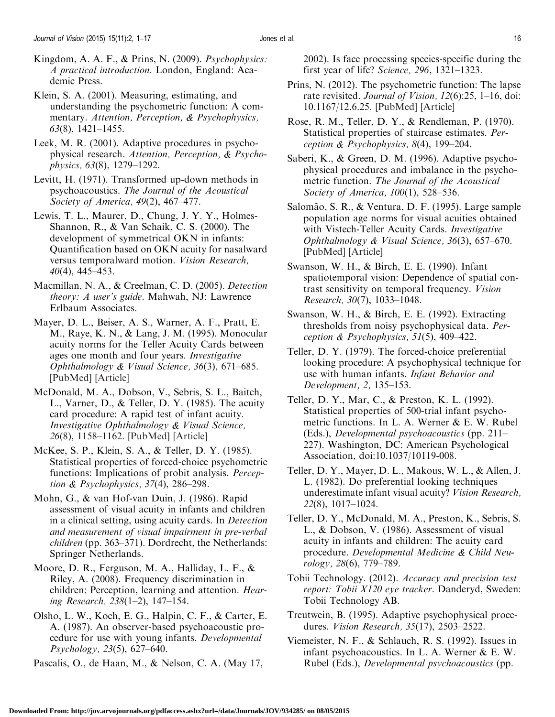<span id="page-15-0"></span>Kingdom, A. A. F., & Prins, N. (2009). Psychophysics: A practical introduction. London, England: Academic Press.

Klein, S. A. (2001). Measuring, estimating, and understanding the psychometric function: A commentary. Attention, Perception, & Psychophysics, 63(8), 1421–1455.

Leek, M. R. (2001). Adaptive procedures in psychophysical research. Attention, Perception, & Psychophysics, 63(8), 1279–1292.

Levitt, H. (1971). Transformed up-down methods in psychoacoustics. The Journal of the Acoustical Society of America, 49(2), 467–477.

Lewis, T. L., Maurer, D., Chung, J. Y. Y., Holmes-Shannon, R., & Van Schaik, C. S. (2000). The development of symmetrical OKN in infants: Quantification based on OKN acuity for nasalward versus temporalward motion. Vision Research,  $40(4)$ ,  $445-453$ .

Macmillan, N. A., & Creelman, C. D. (2005). Detection theory: A user's guide. Mahwah, NJ: Lawrence Erlbaum Associates.

Mayer, D. L., Beiser, A. S., Warner, A. F., Pratt, E. M., Raye, K. N., & Lang, J. M. (1995). Monocular acuity norms for the Teller Acuity Cards between ages one month and four years. Investigative Ophthalmology & Visual Science, 36(3), 671–685. [[PubMed](http://www.ncbi.nlm.nih.gov/pubmed/7890497)] [[Article\]](http://iovs.arvojournals.org/article.aspx?articleid=2179925)

McDonald, M. A., Dobson, V., Sebris, S. L., Baitch, L., Varner, D., & Teller, D. Y. (1985). The acuity card procedure: A rapid test of infant acuity. Investigative Ophthalmology & Visual Science, 26(8), 1158–1162. [\[PubMed](http://www.ncbi.nlm.nih.gov/pubmed/4019107)] [\[Article\]](http://iovs.arvojournals.org/article.aspx?articleid=2159823)

McKee, S. P., Klein, S. A., & Teller, D. Y. (1985). Statistical properties of forced-choice psychometric functions: Implications of probit analysis. Perception & Psychophysics,  $37(4)$ ,  $286-298$ .

Mohn, G., & van Hof-van Duin, J. (1986). Rapid assessment of visual acuity in infants and children in a clinical setting, using acuity cards. In Detection and measurement of visual impairment in pre-verbal children (pp. 363–371). Dordrecht, the Netherlands: Springer Netherlands.

Moore, D. R., Ferguson, M. A., Halliday, L. F., & Riley, A. (2008). Frequency discrimination in children: Perception, learning and attention. Hearing Research, 238(1–2), 147–154.

Olsho, L. W., Koch, E. G., Halpin, C. F., & Carter, E. A. (1987). An observer-based psychoacoustic procedure for use with young infants. Developmental Psychology, 23(5), 627–640.

Pascalis, O., de Haan, M., & Nelson, C. A. (May 17,

2002). Is face processing species-specific during the first year of life? Science, 296, 1321–1323.

Prins, N. (2012). The psychometric function: The lapse rate revisited. Journal of Vision, 12(6):25, 1–16, doi: 10.1167/12.6.25. [\[PubMed\]](http://www.ncbi.nlm.nih.gov/pubmed/22715196) [\[Article\]](http://jov.arvojournals.org/article.aspx?articleid=2192299)

Rose, R. M., Teller, D. Y., & Rendleman, P. (1970). Statistical properties of staircase estimates. Perception & Psychophysics, 8(4), 199–204.

Saberi, K., & Green, D. M. (1996). Adaptive psychophysical procedures and imbalance in the psychometric function. The Journal of the Acoustical Society of America, 100(1), 528–536.

Salomão, S. R., & Ventura, D. F. (1995). Large sample population age norms for visual acuities obtained with Vistech-Teller Acuity Cards. Investigative Ophthalmology & Visual Science, 36(3), 657–670. [[PubMed](http://www.ncbi.nlm.nih.gov/pubmed/7890496)] [[Article\]](http://iovs.arvojournals.org/article.aspx?articleid=2179918)

Swanson, W. H., & Birch, E. E. (1990). Infant spatiotemporal vision: Dependence of spatial contrast sensitivity on temporal frequency. Vision Research, 30(7), 1033–1048.

Swanson, W. H., & Birch, E. E. (1992). Extracting thresholds from noisy psychophysical data. Perception & Psychophysics,  $51(5)$ , 409–422.

Teller, D. Y. (1979). The forced-choice preferential looking procedure: A psychophysical technique for use with human infants. Infant Behavior and Development, 2, 135–153.

Teller, D. Y., Mar, C., & Preston, K. L. (1992). Statistical properties of 500-trial infant psychometric functions. In L. A. Werner & E. W. Rubel (Eds.), Developmental psychoacoustics (pp. 211– 227). Washington, DC: American Psychological Association, doi:10.1037/10119-008.

Teller, D. Y., Mayer, D. L., Makous, W. L., & Allen, J. L. (1982). Do preferential looking techniques underestimate infant visual acuity? Vision Research, 22(8), 1017–1024.

Teller, D. Y., McDonald, M. A., Preston, K., Sebris, S. L., & Dobson, V. (1986). Assessment of visual acuity in infants and children: The acuity card procedure. Developmental Medicine & Child Neurology, 28(6), 779–789.

Tobii Technology. (2012). Accuracy and precision test report: Tobii X120 eye tracker. Danderyd, Sweden: Tobii Technology AB.

Treutwein, B. (1995). Adaptive psychophysical procedures. Vision Research, 35(17), 2503–2522.

Viemeister, N. F., & Schlauch, R. S. (1992). Issues in infant psychoacoustics. In L. A. Werner & E. W. Rubel (Eds.), Developmental psychoacoustics (pp.